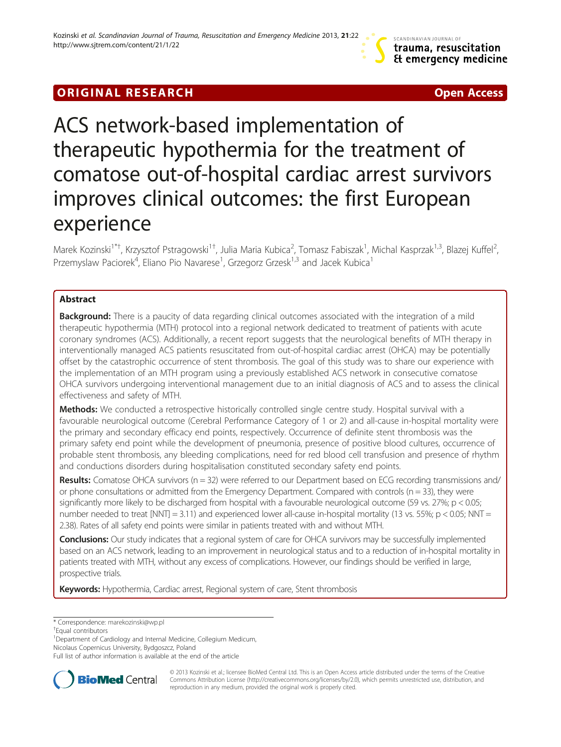# **ORIGINAL RESEARCH CHARGE ACCESS**



# ACS network-based implementation of therapeutic hypothermia for the treatment of comatose out-of-hospital cardiac arrest survivors improves clinical outcomes: the first European experience

Marek Kozinski<sup>1\*†</sup>, Krzysztof Pstragowski<sup>1†</sup>, Julia Maria Kubica<sup>2</sup>, Tomasz Fabiszak<sup>1</sup>, Michal Kasprzak<sup>1,3</sup>, Blazej Kuffel<sup>2</sup> , Przemyslaw Paciorek<sup>4</sup>, Eliano Pio Navarese<sup>1</sup>, Grzegorz Grzesk<sup>1,3</sup> and Jacek Kubica<sup>1</sup>

# Abstract

**Background:** There is a paucity of data regarding clinical outcomes associated with the integration of a mild therapeutic hypothermia (MTH) protocol into a regional network dedicated to treatment of patients with acute coronary syndromes (ACS). Additionally, a recent report suggests that the neurological benefits of MTH therapy in interventionally managed ACS patients resuscitated from out-of-hospital cardiac arrest (OHCA) may be potentially offset by the catastrophic occurrence of stent thrombosis. The goal of this study was to share our experience with the implementation of an MTH program using a previously established ACS network in consecutive comatose OHCA survivors undergoing interventional management due to an initial diagnosis of ACS and to assess the clinical effectiveness and safety of MTH.

Methods: We conducted a retrospective historically controlled single centre study. Hospital survival with a favourable neurological outcome (Cerebral Performance Category of 1 or 2) and all-cause in-hospital mortality were the primary and secondary efficacy end points, respectively. Occurrence of definite stent thrombosis was the primary safety end point while the development of pneumonia, presence of positive blood cultures, occurrence of probable stent thrombosis, any bleeding complications, need for red blood cell transfusion and presence of rhythm and conductions disorders during hospitalisation constituted secondary safety end points.

Results: Comatose OHCA survivors ( $n = 32$ ) were referred to our Department based on ECG recording transmissions and/ or phone consultations or admitted from the Emergency Department. Compared with controls ( $n = 33$ ), they were significantly more likely to be discharged from hospital with a favourable neurological outcome (59 vs. 27%; p < 0.05; number needed to treat  $[NNT] = 3.11$ ) and experienced lower all-cause in-hospital mortality (13 vs. 55%; p < 0.05; NNT = 2.38). Rates of all safety end points were similar in patients treated with and without MTH.

Conclusions: Our study indicates that a regional system of care for OHCA survivors may be successfully implemented based on an ACS network, leading to an improvement in neurological status and to a reduction of in-hospital mortality in patients treated with MTH, without any excess of complications. However, our findings should be verified in large, prospective trials.

Keywords: Hypothermia, Cardiac arrest, Regional system of care, Stent thrombosis

<sup>1</sup> Department of Cardiology and Internal Medicine, Collegium Medicum,

Nicolaus Copernicus University, Bydgoszcz, Poland

Full list of author information is available at the end of the article



© 2013 Kozinski et al.; licensee BioMed Central Ltd. This is an Open Access article distributed under the terms of the Creative Commons Attribution License [\(http://creativecommons.org/licenses/by/2.0\)](http://creativecommons.org/licenses/by/2.0), which permits unrestricted use, distribution, and reproduction in any medium, provided the original work is properly cited.

<sup>\*</sup> Correspondence: [marekozinski@wp.pl](mailto:marekozinski@wp.pl) †

Equal contributors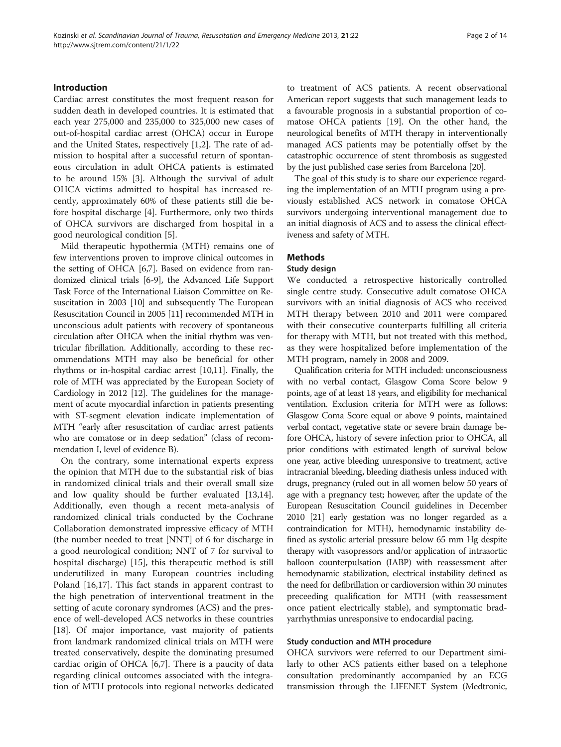# Introduction

Cardiac arrest constitutes the most frequent reason for sudden death in developed countries. It is estimated that each year 275,000 and 235,000 to 325,000 new cases of out-of-hospital cardiac arrest (OHCA) occur in Europe and the United States, respectively [[1,2\]](#page-12-0). The rate of admission to hospital after a successful return of spontaneous circulation in adult OHCA patients is estimated to be around 15% [[3](#page-12-0)]. Although the survival of adult OHCA victims admitted to hospital has increased recently, approximately 60% of these patients still die before hospital discharge [\[4](#page-12-0)]. Furthermore, only two thirds of OHCA survivors are discharged from hospital in a good neurological condition [\[5\]](#page-12-0).

Mild therapeutic hypothermia (MTH) remains one of few interventions proven to improve clinical outcomes in the setting of OHCA [\[6,7](#page-12-0)]. Based on evidence from randomized clinical trials [\[6-9](#page-12-0)], the Advanced Life Support Task Force of the International Liaison Committee on Resuscitation in 2003 [\[10\]](#page-12-0) and subsequently The European Resuscitation Council in 2005 [\[11](#page-12-0)] recommended MTH in unconscious adult patients with recovery of spontaneous circulation after OHCA when the initial rhythm was ventricular fibrillation. Additionally, according to these recommendations MTH may also be beneficial for other rhythms or in-hospital cardiac arrest [\[10,11](#page-12-0)]. Finally, the role of MTH was appreciated by the European Society of Cardiology in 2012 [\[12\]](#page-12-0). The guidelines for the management of acute myocardial infarction in patients presenting with ST-segment elevation indicate implementation of MTH "early after resuscitation of cardiac arrest patients who are comatose or in deep sedation" (class of recommendation I, level of evidence B).

On the contrary, some international experts express the opinion that MTH due to the substantial risk of bias in randomized clinical trials and their overall small size and low quality should be further evaluated [\[13,14](#page-12-0)]. Additionally, even though a recent meta-analysis of randomized clinical trials conducted by the Cochrane Collaboration demonstrated impressive efficacy of MTH (the number needed to treat [NNT] of 6 for discharge in a good neurological condition; NNT of 7 for survival to hospital discharge) [[15\]](#page-12-0), this therapeutic method is still underutilized in many European countries including Poland [[16,17\]](#page-12-0). This fact stands in apparent contrast to the high penetration of interventional treatment in the setting of acute coronary syndromes (ACS) and the presence of well-developed ACS networks in these countries [[18\]](#page-12-0). Of major importance, vast majority of patients from landmark randomized clinical trials on MTH were treated conservatively, despite the dominating presumed cardiac origin of OHCA [\[6,7](#page-12-0)]. There is a paucity of data regarding clinical outcomes associated with the integration of MTH protocols into regional networks dedicated to treatment of ACS patients. A recent observational American report suggests that such management leads to a favourable prognosis in a substantial proportion of comatose OHCA patients [[19](#page-12-0)]. On the other hand, the neurological benefits of MTH therapy in interventionally managed ACS patients may be potentially offset by the catastrophic occurrence of stent thrombosis as suggested by the just published case series from Barcelona [\[20\]](#page-12-0).

The goal of this study is to share our experience regarding the implementation of an MTH program using a previously established ACS network in comatose OHCA survivors undergoing interventional management due to an initial diagnosis of ACS and to assess the clinical effectiveness and safety of MTH.

### Methods

#### Study design

We conducted a retrospective historically controlled single centre study. Consecutive adult comatose OHCA survivors with an initial diagnosis of ACS who received MTH therapy between 2010 and 2011 were compared with their consecutive counterparts fulfilling all criteria for therapy with MTH, but not treated with this method, as they were hospitalized before implementation of the MTH program, namely in 2008 and 2009.

Qualification criteria for MTH included: unconsciousness with no verbal contact, Glasgow Coma Score below 9 points, age of at least 18 years, and eligibility for mechanical ventilation. Exclusion criteria for MTH were as follows: Glasgow Coma Score equal or above 9 points, maintained verbal contact, vegetative state or severe brain damage before OHCA, history of severe infection prior to OHCA, all prior conditions with estimated length of survival below one year, active bleeding unresponsive to treatment, active intracranial bleeding, bleeding diathesis unless induced with drugs, pregnancy (ruled out in all women below 50 years of age with a pregnancy test; however, after the update of the European Resuscitation Council guidelines in December 2010 [\[21\]](#page-12-0) early gestation was no longer regarded as a contraindication for MTH), hemodynamic instability defined as systolic arterial pressure below 65 mm Hg despite therapy with vasopressors and/or application of intraaortic balloon counterpulsation (IABP) with reassessment after hemodynamic stabilization, electrical instability defined as the need for defibrillation or cardioversion within 30 minutes preceeding qualification for MTH (with reassessment once patient electrically stable), and symptomatic bradyarrhythmias unresponsive to endocardial pacing.

#### Study conduction and MTH procedure

OHCA survivors were referred to our Department similarly to other ACS patients either based on a telephone consultation predominantly accompanied by an ECG transmission through the LIFENET System (Medtronic,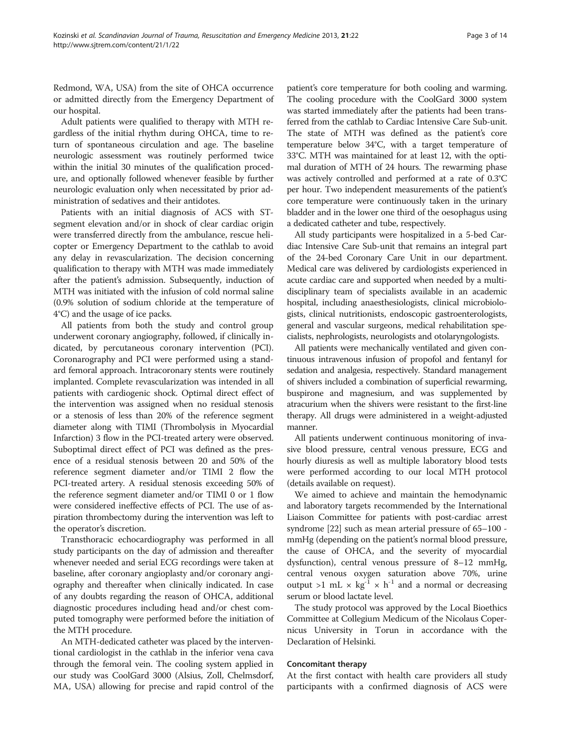Redmond, WA, USA) from the site of OHCA occurrence or admitted directly from the Emergency Department of our hospital.

Adult patients were qualified to therapy with MTH regardless of the initial rhythm during OHCA, time to return of spontaneous circulation and age. The baseline neurologic assessment was routinely performed twice within the initial 30 minutes of the qualification procedure, and optionally followed whenever feasible by further neurologic evaluation only when necessitated by prior administration of sedatives and their antidotes.

Patients with an initial diagnosis of ACS with STsegment elevation and/or in shock of clear cardiac origin were transferred directly from the ambulance, rescue helicopter or Emergency Department to the cathlab to avoid any delay in revascularization. The decision concerning qualification to therapy with MTH was made immediately after the patient's admission. Subsequently, induction of MTH was initiated with the infusion of cold normal saline (0.9% solution of sodium chloride at the temperature of 4°C) and the usage of ice packs.

All patients from both the study and control group underwent coronary angiography, followed, if clinically indicated, by percutaneous coronary intervention (PCI). Coronarography and PCI were performed using a standard femoral approach. Intracoronary stents were routinely implanted. Complete revascularization was intended in all patients with cardiogenic shock. Optimal direct effect of the intervention was assigned when no residual stenosis or a stenosis of less than 20% of the reference segment diameter along with TIMI (Thrombolysis in Myocardial Infarction) 3 flow in the PCI-treated artery were observed. Suboptimal direct effect of PCI was defined as the presence of a residual stenosis between 20 and 50% of the reference segment diameter and/or TIMI 2 flow the PCI-treated artery. A residual stenosis exceeding 50% of the reference segment diameter and/or TIMI 0 or 1 flow were considered ineffective effects of PCI. The use of aspiration thrombectomy during the intervention was left to the operator's discretion.

Transthoracic echocardiography was performed in all study participants on the day of admission and thereafter whenever needed and serial ECG recordings were taken at baseline, after coronary angioplasty and/or coronary angiography and thereafter when clinically indicated. In case of any doubts regarding the reason of OHCA, additional diagnostic procedures including head and/or chest computed tomography were performed before the initiation of the MTH procedure.

An MTH-dedicated catheter was placed by the interventional cardiologist in the cathlab in the inferior vena cava through the femoral vein. The cooling system applied in our study was CoolGard 3000 (Alsius, Zoll, Chelmsdorf, MA, USA) allowing for precise and rapid control of the

patient's core temperature for both cooling and warming. The cooling procedure with the CoolGard 3000 system was started immediately after the patients had been transferred from the cathlab to Cardiac Intensive Care Sub-unit. The state of MTH was defined as the patient's core temperature below 34°C, with a target temperature of 33°C. MTH was maintained for at least 12, with the optimal duration of MTH of 24 hours. The rewarming phase was actively controlled and performed at a rate of 0.3°C per hour. Two independent measurements of the patient's core temperature were continuously taken in the urinary bladder and in the lower one third of the oesophagus using a dedicated catheter and tube, respectively.

All study participants were hospitalized in a 5-bed Cardiac Intensive Care Sub-unit that remains an integral part of the 24-bed Coronary Care Unit in our department. Medical care was delivered by cardiologists experienced in acute cardiac care and supported when needed by a multidisciplinary team of specialists available in an academic hospital, including anaesthesiologists, clinical microbiologists, clinical nutritionists, endoscopic gastroenterologists, general and vascular surgeons, medical rehabilitation specialists, nephrologists, neurologists and otolaryngologists.

All patients were mechanically ventilated and given continuous intravenous infusion of propofol and fentanyl for sedation and analgesia, respectively. Standard management of shivers included a combination of superficial rewarming, buspirone and magnesium, and was supplemented by atracurium when the shivers were resistant to the first-line therapy. All drugs were administered in a weight-adjusted manner.

All patients underwent continuous monitoring of invasive blood pressure, central venous pressure, ECG and hourly diuresis as well as multiple laboratory blood tests were performed according to our local MTH protocol (details available on request).

We aimed to achieve and maintain the hemodynamic and laboratory targets recommended by the International Liaison Committee for patients with post-cardiac arrest syndrome [\[22\]](#page-12-0) such as mean arterial pressure of 65–100 mmHg (depending on the patient's normal blood pressure, the cause of OHCA, and the severity of myocardial dysfunction), central venous pressure of 8–12 mmHg, central venous oxygen saturation above 70%, urine output >1 mL  $\times$  kg<sup>-1</sup>  $\times$  h<sup>-1</sup> and a normal or decreasing serum or blood lactate level.

The study protocol was approved by the Local Bioethics Committee at Collegium Medicum of the Nicolaus Copernicus University in Torun in accordance with the Declaration of Helsinki.

#### Concomitant therapy

At the first contact with health care providers all study participants with a confirmed diagnosis of ACS were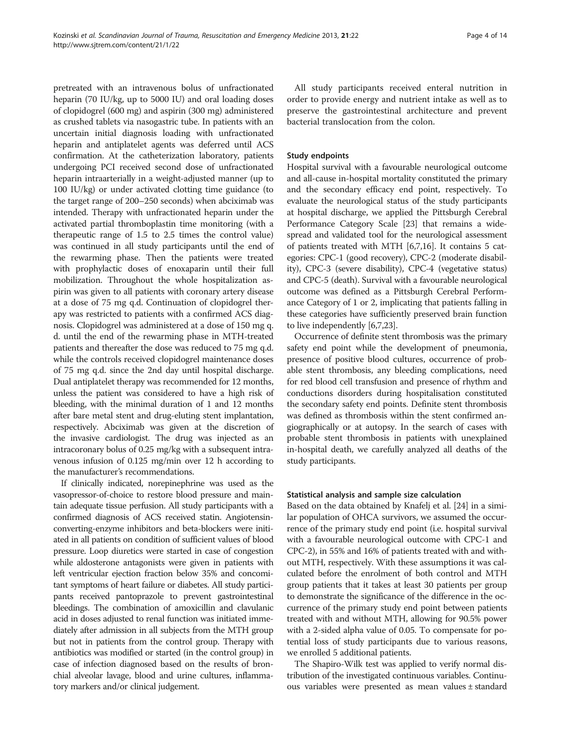pretreated with an intravenous bolus of unfractionated heparin (70 IU/kg, up to 5000 IU) and oral loading doses of clopidogrel (600 mg) and aspirin (300 mg) administered as crushed tablets via nasogastric tube. In patients with an uncertain initial diagnosis loading with unfractionated heparin and antiplatelet agents was deferred until ACS confirmation. At the catheterization laboratory, patients undergoing PCI received second dose of unfractionated heparin intraarterially in a weight-adjusted manner (up to 100 IU/kg) or under activated clotting time guidance (to the target range of 200–250 seconds) when abciximab was intended. Therapy with unfractionated heparin under the activated partial thromboplastin time monitoring (with a therapeutic range of 1.5 to 2.5 times the control value) was continued in all study participants until the end of the rewarming phase. Then the patients were treated with prophylactic doses of enoxaparin until their full mobilization. Throughout the whole hospitalization aspirin was given to all patients with coronary artery disease at a dose of 75 mg q.d. Continuation of clopidogrel therapy was restricted to patients with a confirmed ACS diagnosis. Clopidogrel was administered at a dose of 150 mg q. d. until the end of the rewarming phase in MTH-treated patients and thereafter the dose was reduced to 75 mg q.d. while the controls received clopidogrel maintenance doses of 75 mg q.d. since the 2nd day until hospital discharge. Dual antiplatelet therapy was recommended for 12 months, unless the patient was considered to have a high risk of bleeding, with the minimal duration of 1 and 12 months after bare metal stent and drug-eluting stent implantation, respectively. Abciximab was given at the discretion of the invasive cardiologist. The drug was injected as an intracoronary bolus of 0.25 mg/kg with a subsequent intravenous infusion of 0.125 mg/min over 12 h according to the manufacturer's recommendations.

If clinically indicated, norepinephrine was used as the vasopressor-of-choice to restore blood pressure and maintain adequate tissue perfusion. All study participants with a confirmed diagnosis of ACS received statin. Angiotensinconverting-enzyme inhibitors and beta-blockers were initiated in all patients on condition of sufficient values of blood pressure. Loop diuretics were started in case of congestion while aldosterone antagonists were given in patients with left ventricular ejection fraction below 35% and concomitant symptoms of heart failure or diabetes. All study participants received pantoprazole to prevent gastrointestinal bleedings. The combination of amoxicillin and clavulanic acid in doses adjusted to renal function was initiated immediately after admission in all subjects from the MTH group but not in patients from the control group. Therapy with antibiotics was modified or started (in the control group) in case of infection diagnosed based on the results of bronchial alveolar lavage, blood and urine cultures, inflammatory markers and/or clinical judgement.

All study participants received enteral nutrition in order to provide energy and nutrient intake as well as to preserve the gastrointestinal architecture and prevent bacterial translocation from the colon.

### Study endpoints

Hospital survival with a favourable neurological outcome and all-cause in-hospital mortality constituted the primary and the secondary efficacy end point, respectively. To evaluate the neurological status of the study participants at hospital discharge, we applied the Pittsburgh Cerebral Performance Category Scale [[23](#page-12-0)] that remains a widespread and validated tool for the neurological assessment of patients treated with MTH [[6,7](#page-12-0),[16](#page-12-0)]. It contains 5 categories: CPC-1 (good recovery), CPC-2 (moderate disability), CPC-3 (severe disability), CPC-4 (vegetative status) and CPC-5 (death). Survival with a favourable neurological outcome was defined as a Pittsburgh Cerebral Performance Category of 1 or 2, implicating that patients falling in these categories have sufficiently preserved brain function to live independently [[6,7,23](#page-12-0)].

Occurrence of definite stent thrombosis was the primary safety end point while the development of pneumonia, presence of positive blood cultures, occurrence of probable stent thrombosis, any bleeding complications, need for red blood cell transfusion and presence of rhythm and conductions disorders during hospitalisation constituted the secondary safety end points. Definite stent thrombosis was defined as thrombosis within the stent confirmed angiographically or at autopsy. In the search of cases with probable stent thrombosis in patients with unexplained in-hospital death, we carefully analyzed all deaths of the study participants.

#### Statistical analysis and sample size calculation

Based on the data obtained by Knafelj et al. [[24](#page-12-0)] in a similar population of OHCA survivors, we assumed the occurrence of the primary study end point (i.e. hospital survival with a favourable neurological outcome with CPC-1 and CPC-2), in 55% and 16% of patients treated with and without MTH, respectively. With these assumptions it was calculated before the enrolment of both control and MTH group patients that it takes at least 30 patients per group to demonstrate the significance of the difference in the occurrence of the primary study end point between patients treated with and without MTH, allowing for 90.5% power with a 2-sided alpha value of 0.05. To compensate for potential loss of study participants due to various reasons, we enrolled 5 additional patients.

The Shapiro-Wilk test was applied to verify normal distribution of the investigated continuous variables. Continuous variables were presented as mean values ± standard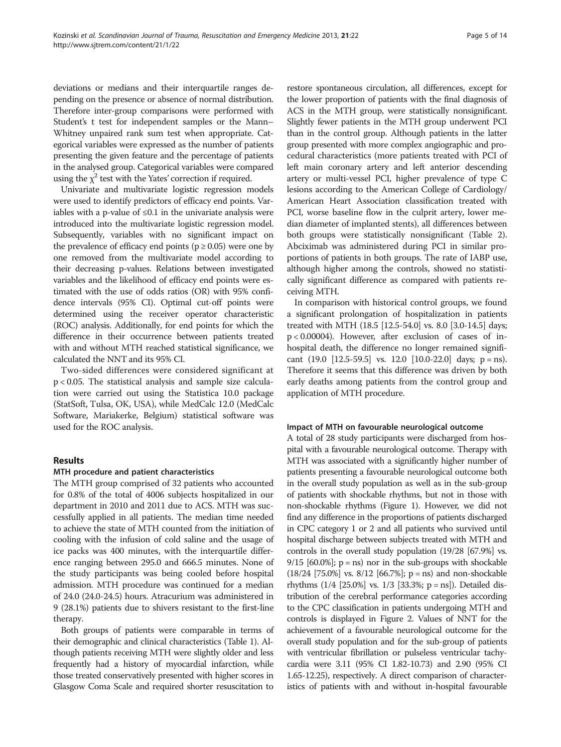deviations or medians and their interquartile ranges depending on the presence or absence of normal distribution. Therefore inter-group comparisons were performed with Student's t test for independent samples or the Mann– Whitney unpaired rank sum test when appropriate. Categorical variables were expressed as the number of patients presenting the given feature and the percentage of patients in the analysed group. Categorical variables were compared using the  $\chi^2$  test with the Yates' correction if required.

Univariate and multivariate logistic regression models were used to identify predictors of efficacy end points. Variables with a p-value of ≤0.1 in the univariate analysis were introduced into the multivariate logistic regression model. Subsequently, variables with no significant impact on the prevalence of efficacy end points ( $p \ge 0.05$ ) were one by one removed from the multivariate model according to their decreasing p-values. Relations between investigated variables and the likelihood of efficacy end points were estimated with the use of odds ratios (OR) with 95% confidence intervals (95% CI). Optimal cut-off points were determined using the receiver operator characteristic (ROC) analysis. Additionally, for end points for which the difference in their occurrence between patients treated with and without MTH reached statistical significance, we calculated the NNT and its 95% CI.

Two-sided differences were considered significant at p < 0.05. The statistical analysis and sample size calculation were carried out using the Statistica 10.0 package (StatSoft, Tulsa, OK, USA), while MedCalc 12.0 (MedCalc Software, Mariakerke, Belgium) statistical software was used for the ROC analysis.

# Results

# MTH procedure and patient characteristics

The MTH group comprised of 32 patients who accounted for 0.8% of the total of 4006 subjects hospitalized in our department in 2010 and 2011 due to ACS. MTH was successfully applied in all patients. The median time needed to achieve the state of MTH counted from the initiation of cooling with the infusion of cold saline and the usage of ice packs was 400 minutes, with the interquartile difference ranging between 295.0 and 666.5 minutes. None of the study participants was being cooled before hospital admission. MTH procedure was continued for a median of 24.0 (24.0-24.5) hours. Atracurium was administered in 9 (28.1%) patients due to shivers resistant to the first-line therapy.

Both groups of patients were comparable in terms of their demographic and clinical characteristics (Table [1\)](#page-5-0). Although patients receiving MTH were slightly older and less frequently had a history of myocardial infarction, while those treated conservatively presented with higher scores in Glasgow Coma Scale and required shorter resuscitation to

restore spontaneous circulation, all differences, except for the lower proportion of patients with the final diagnosis of ACS in the MTH group, were statistically nonsignificant. Slightly fewer patients in the MTH group underwent PCI than in the control group. Although patients in the latter group presented with more complex angiographic and procedural characteristics (more patients treated with PCI of left main coronary artery and left anterior descending artery or multi-vessel PCI, higher prevalence of type C lesions according to the American College of Cardiology/ American Heart Association classification treated with PCI, worse baseline flow in the culprit artery, lower median diameter of implanted stents), all differences between both groups were statistically nonsignificant (Table [2](#page-6-0)). Abciximab was administered during PCI in similar proportions of patients in both groups. The rate of IABP use, although higher among the controls, showed no statistically significant difference as compared with patients receiving MTH.

In comparison with historical control groups, we found a significant prolongation of hospitalization in patients treated with MTH (18.5 [12.5-54.0] vs. 8.0 [3.0-14.5] days; p < 0.00004). However, after exclusion of cases of inhospital death, the difference no longer remained significant (19.0 [12.5-59.5] vs. 12.0 [10.0-22.0] days; p = ns). Therefore it seems that this difference was driven by both early deaths among patients from the control group and application of MTH procedure.

# Impact of MTH on favourable neurological outcome

A total of 28 study participants were discharged from hospital with a favourable neurological outcome. Therapy with MTH was associated with a significantly higher number of patients presenting a favourable neurological outcome both in the overall study population as well as in the sub-group of patients with shockable rhythms, but not in those with non-shockable rhythms (Figure [1](#page-7-0)). However, we did not find any difference in the proportions of patients discharged in CPC category 1 or 2 and all patients who survived until hospital discharge between subjects treated with MTH and controls in the overall study population (19/28 [67.9%] vs.  $9/15$  [60.0%];  $p = ns$ ) nor in the sub-groups with shockable  $(18/24 \; [75.0\%] \; \text{vs.} \; 8/12 \; [66.7\%] \; \text{p} = \text{ns})$  and non-shockable rhythms (1/4 [25.0%] vs. 1/3 [33.3%; p = ns]). Detailed distribution of the cerebral performance categories according to the CPC classification in patients undergoing MTH and controls is displayed in Figure [2](#page-8-0). Values of NNT for the achievement of a favourable neurological outcome for the overall study population and for the sub-group of patients with ventricular fibrillation or pulseless ventricular tachycardia were 3.11 (95% CI 1.82-10.73) and 2.90 (95% CI 1.65-12.25), respectively. A direct comparison of characteristics of patients with and without in-hospital favourable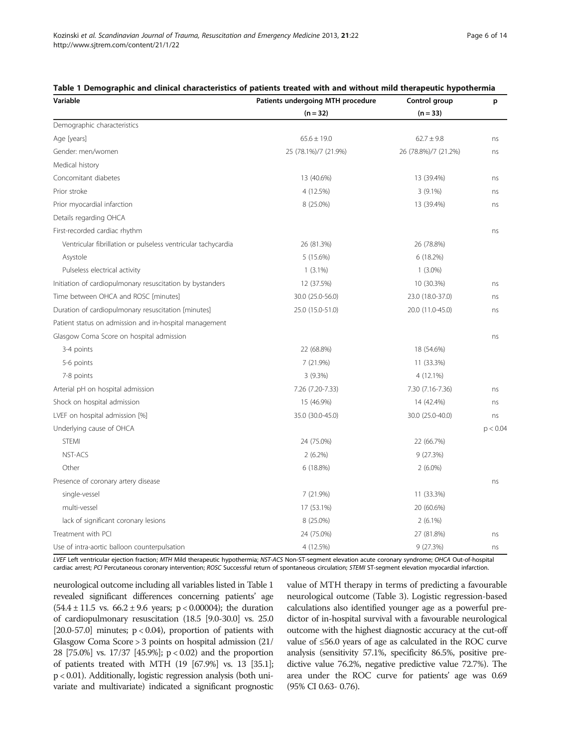| Variable                                                      | Patients undergoing MTH procedure | Control group        | p        |
|---------------------------------------------------------------|-----------------------------------|----------------------|----------|
|                                                               | $(n = 32)$                        | $(n = 33)$           |          |
| Demographic characteristics                                   |                                   |                      |          |
| Age [years]                                                   | $65.6 \pm 19.0$                   | $62.7 \pm 9.8$       | ns       |
| Gender: men/women                                             | 25 (78.1%)/7 (21.9%)              | 26 (78.8%)/7 (21.2%) | ns       |
| Medical history                                               |                                   |                      |          |
| Concomitant diabetes                                          | 13 (40.6%)                        | 13 (39.4%)           | ns       |
| Prior stroke                                                  | 4 (12.5%)                         | $3(9.1\%)$           | ns       |
| Prior myocardial infarction                                   | 8 (25.0%)                         | 13 (39.4%)           | ns       |
| Details regarding OHCA                                        |                                   |                      |          |
| First-recorded cardiac rhythm                                 |                                   |                      | ns       |
| Ventricular fibrillation or pulseless ventricular tachycardia | 26 (81.3%)                        | 26 (78.8%)           |          |
| Asystole                                                      | 5 (15.6%)                         | 6(18.2%)             |          |
| Pulseless electrical activity                                 | $1(3.1\%)$                        | $1(3.0\%)$           |          |
| Initiation of cardiopulmonary resuscitation by bystanders     | 12 (37.5%)                        | 10 (30.3%)           | ns       |
| Time between OHCA and ROSC [minutes]                          | 30.0 (25.0-56.0)                  | 23.0 (18.0-37.0)     | ns       |
| Duration of cardiopulmonary resuscitation [minutes]           | 25.0 (15.0-51.0)                  | 20.0 (11.0-45.0)     | ns       |
| Patient status on admission and in-hospital management        |                                   |                      |          |
| Glasgow Coma Score on hospital admission                      |                                   |                      | ns       |
| 3-4 points                                                    | 22 (68.8%)                        | 18 (54.6%)           |          |
| 5-6 points                                                    | 7(21.9%)                          | 11 (33.3%)           |          |
| 7-8 points                                                    | $3(9.3\%)$                        | 4 (12.1%)            |          |
| Arterial pH on hospital admission                             | 7.26 (7.20-7.33)                  | 7.30 (7.16-7.36)     | ns       |
| Shock on hospital admission                                   | 15 (46.9%)                        | 14 (42.4%)           | ns       |
| LVEF on hospital admission [%]                                | 35.0 (30.0-45.0)                  | 30.0 (25.0-40.0)     | ns       |
| Underlying cause of OHCA                                      |                                   |                      | p < 0.04 |
| <b>STEMI</b>                                                  | 24 (75.0%)                        | 22 (66.7%)           |          |
| <b>NST-ACS</b>                                                | $2(6.2\%)$                        | 9(27.3%)             |          |
| Other                                                         | 6(18.8%)                          | $2(6.0\%)$           |          |
| Presence of coronary artery disease                           |                                   |                      | ns       |
| single-vessel                                                 | 7 (21.9%)                         | 11 (33.3%)           |          |
| multi-vessel                                                  | 17 (53.1%)                        | 20 (60.6%)           |          |
| lack of significant coronary lesions                          | 8 (25.0%)                         | $2(6.1\%)$           |          |
| Treatment with PCI                                            | 24 (75.0%)                        | 27 (81.8%)           | ns       |
| Use of intra-aortic balloon counterpulsation                  | 4 (12.5%)                         | 9 (27.3%)            | ns       |

#### <span id="page-5-0"></span>Table 1 Demographic and clinical characteristics of patients treated with and without mild therapeutic hypothermia

LVEF Left ventricular ejection fraction; MTH Mild therapeutic hypothermia; NST-ACS Non-ST-segment elevation acute coronary syndrome; OHCA Out-of-hospital cardiac arrest; PCI Percutaneous coronary intervention; ROSC Successful return of spontaneous circulation; STEMI ST-segment elevation myocardial infarction.

neurological outcome including all variables listed in Table 1 revealed significant differences concerning patients' age (54.4 ± 11.5 vs.  $66.2 \pm 9.6$  years; p < 0.00004); the duration of cardiopulmonary resuscitation (18.5 [9.0-30.0] vs. 25.0 [20.0-57.0] minutes;  $p < 0.04$ ), proportion of patients with Glasgow Coma Score > 3 points on hospital admission (21/ 28 [75.0%] vs. 17/37 [45.9%]; p < 0.02) and the proportion of patients treated with MTH (19 [67.9%] vs. 13 [35.1]; p < 0.01). Additionally, logistic regression analysis (both univariate and multivariate) indicated a significant prognostic value of MTH therapy in terms of predicting a favourable neurological outcome (Table [3\)](#page-8-0). Logistic regression-based calculations also identified younger age as a powerful predictor of in-hospital survival with a favourable neurological outcome with the highest diagnostic accuracy at the cut-off value of ≤56.0 years of age as calculated in the ROC curve analysis (sensitivity 57.1%, specificity 86.5%, positive predictive value 76.2%, negative predictive value 72.7%). The area under the ROC curve for patients' age was 0.69 (95% CI 0.63- 0.76).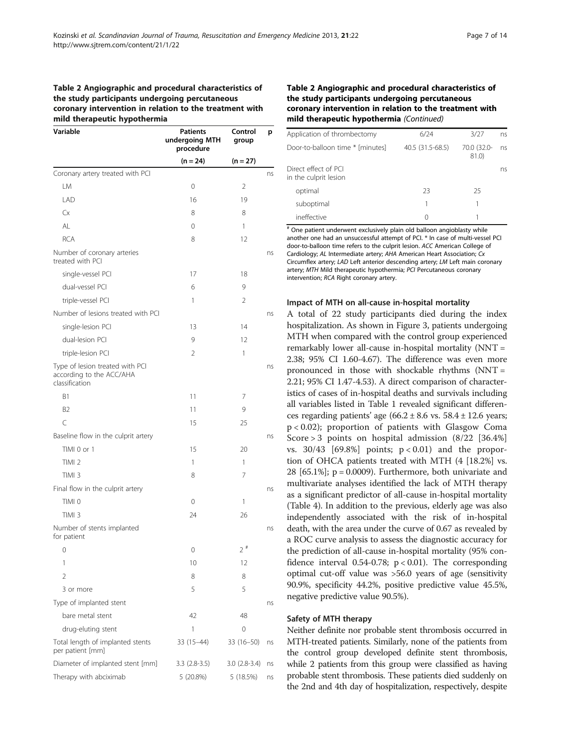### <span id="page-6-0"></span>Table 2 Angiographic and procedural characteristics of the study participants undergoing percutaneous coronary intervention in relation to the treatment with mild therapeutic hypothermia

| Variable                                                                      | <b>Patients</b><br>undergoing MTH<br>procedure | Control<br>group | р  |
|-------------------------------------------------------------------------------|------------------------------------------------|------------------|----|
|                                                                               | $(n = 24)$                                     | $(n = 27)$       |    |
| Coronary artery treated with PCI                                              |                                                |                  | ns |
| LM                                                                            | 0                                              | 2                |    |
| LAD                                                                           | 16                                             | 19               |    |
| Сx                                                                            | 8                                              | 8                |    |
| AL                                                                            | 0                                              | 1                |    |
| <b>RCA</b>                                                                    | 8                                              | 12               |    |
| Number of coronary arteries<br>treated with PCI                               |                                                |                  | ns |
| single-vessel PCI                                                             | 17                                             | 18               |    |
| dual-vessel PCI                                                               | 6                                              | 9                |    |
| triple-vessel PCI                                                             | 1                                              | 2                |    |
| Number of lesions treated with PCI                                            |                                                |                  | ns |
| single-lesion PCI                                                             | 13                                             | 14               |    |
| dual-lesion PCI                                                               | 9                                              | 12               |    |
| triple-lesion PCI                                                             | 2                                              | 1                |    |
| Type of lesion treated with PCI<br>according to the ACC/AHA<br>classification |                                                |                  | ns |
| B1                                                                            | 11                                             | 7                |    |
| B <sub>2</sub>                                                                | 11                                             | 9                |    |
| $\mathsf{C}$                                                                  | 15                                             | 25               |    |
| Baseline flow in the culprit artery                                           |                                                |                  | ns |
| TIMI 0 or 1                                                                   | 15                                             | 20               |    |
| TIMI <sub>2</sub>                                                             | 1                                              | 1                |    |
| TIMI <sub>3</sub>                                                             | 8                                              | 7                |    |
| Final flow in the culprit artery                                              |                                                |                  | ns |
| TIMI 0                                                                        | 0                                              | 1                |    |
| TIMI <sub>3</sub>                                                             | 24                                             | 26               |    |
| Number of stents implanted<br>for patient                                     |                                                |                  | ns |
| 0                                                                             | 0                                              | $2^{\#}$         |    |
| 1                                                                             | 10                                             | 12               |    |
| 2                                                                             | 8                                              | 8                |    |
| 3 or more                                                                     | 5                                              | 5                |    |
| Type of implanted stent                                                       |                                                |                  | ns |
| bare metal stent                                                              | 42                                             | 48               |    |
| drug-eluting stent                                                            | 1                                              | 0                |    |
| Total length of implanted stents<br>per patient [mm]                          | $33(15-44)$                                    | 33 (16-50)       | ns |
| Diameter of implanted stent [mm]                                              | $3.3(2.8-3.5)$                                 | $3.0(2.8-3.4)$   | ns |
| Therapy with abciximab                                                        | 5 (20.8%)                                      | 5 (18.5%)        | ns |

## Table 2 Angiographic and procedural characteristics of the study participants undergoing percutaneous coronary intervention in relation to the treatment with mild therapeutic hypothermia (Continued)

| Application of thrombectomy                   | 6/24             | 3/27                 | ns |
|-----------------------------------------------|------------------|----------------------|----|
| Door-to-balloon time * [minutes]              | 40.5 (31.5-68.5) | 70.0 (32.0-<br>81.0) | ns |
| Direct effect of PCI<br>in the culprit lesion |                  |                      | ns |
| optimal                                       | 23               | 25                   |    |
| suboptimal                                    |                  |                      |    |
| ineffective                                   |                  |                      |    |

# One patient underwent exclusively plain old balloon angioblasty while another one had an unsuccessful attempt of PCI. \* In case of multi-vessel PCI door-to-balloon time refers to the culprit lesion. ACC American College of Cardiology; AL Intermediate artery; AHA American Heart Association; Cx Circumflex artery; LAD Left anterior descending artery; LM Left main coronary artery; MTH Mild therapeutic hypothermia; PCI Percutaneous coronary intervention; RCA Right coronary artery.

#### Impact of MTH on all-cause in-hospital mortality

A total of 22 study participants died during the index hospitalization. As shown in Figure [3,](#page-9-0) patients undergoing MTH when compared with the control group experienced remarkably lower all-cause in-hospital mortality (NNT = 2.38; 95% CI 1.60-4.67). The difference was even more pronounced in those with shockable rhythms (NNT = 2.21; 95% CI 1.47-4.53). A direct comparison of characteristics of cases of in-hospital deaths and survivals including all variables listed in Table [1](#page-5-0) revealed significant differences regarding patients' age  $(66.2 \pm 8.6 \text{ vs. } 58.4 \pm 12.6 \text{ years})$ p < 0.02); proportion of patients with Glasgow Coma Score > 3 points on hospital admission (8/22 [36.4%] vs.  $30/43$  [69.8%] points;  $p < 0.01$ ) and the proportion of OHCA patients treated with MTH (4 [18.2%] vs. 28  $[65.1\%]$ ; p = 0.0009). Furthermore, both univariate and multivariate analyses identified the lack of MTH therapy as a significant predictor of all-cause in-hospital mortality (Table [4](#page-9-0)). In addition to the previous, elderly age was also independently associated with the risk of in-hospital death, with the area under the curve of 0.67 as revealed by a ROC curve analysis to assess the diagnostic accuracy for the prediction of all-cause in-hospital mortality (95% confidence interval 0.54-0.78;  $p < 0.01$ ). The corresponding optimal cut-off value was >56.0 years of age (sensitivity 90.9%, specificity 44.2%, positive predictive value 45.5%, negative predictive value 90.5%).

#### Safety of MTH therapy

Neither definite nor probable stent thrombosis occurred in MTH-treated patients. Similarly, none of the patients from the control group developed definite stent thrombosis, while 2 patients from this group were classified as having probable stent thrombosis. These patients died suddenly on the 2nd and 4th day of hospitalization, respectively, despite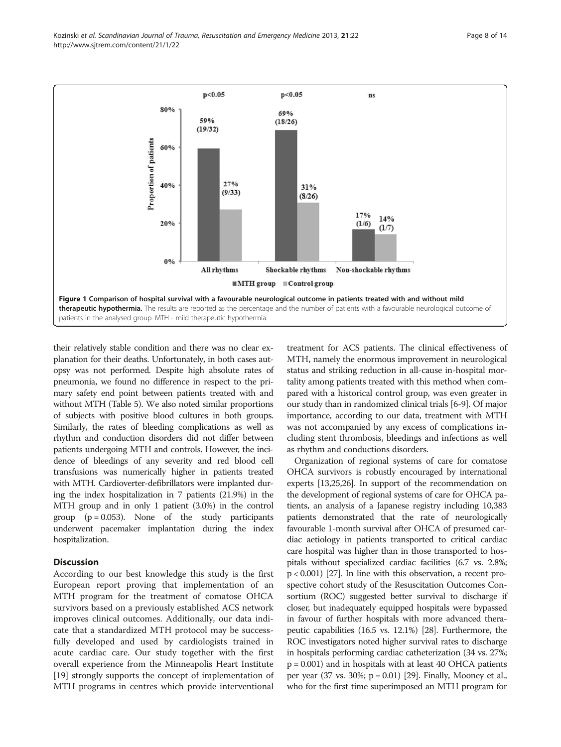<span id="page-7-0"></span>Kozinski et al. Scandinavian Journal of Trauma, Resuscitation and Emergency Medicine 2013, 21:22 Page 8 of 14 http://www.sjtrem.com/content/21/1/22



their relatively stable condition and there was no clear explanation for their deaths. Unfortunately, in both cases autopsy was not performed. Despite high absolute rates of pneumonia, we found no difference in respect to the primary safety end point between patients treated with and without MTH (Table [5](#page-10-0)). We also noted similar proportions of subjects with positive blood cultures in both groups. Similarly, the rates of bleeding complications as well as rhythm and conduction disorders did not differ between patients undergoing MTH and controls. However, the incidence of bleedings of any severity and red blood cell transfusions was numerically higher in patients treated with MTH. Cardioverter-defibrillators were implanted during the index hospitalization in 7 patients (21.9%) in the MTH group and in only 1 patient (3.0%) in the control group  $(p = 0.053)$ . None of the study participants underwent pacemaker implantation during the index hospitalization.

# **Discussion**

According to our best knowledge this study is the first European report proving that implementation of an MTH program for the treatment of comatose OHCA survivors based on a previously established ACS network improves clinical outcomes. Additionally, our data indicate that a standardized MTH protocol may be successfully developed and used by cardiologists trained in acute cardiac care. Our study together with the first overall experience from the Minneapolis Heart Institute [[19\]](#page-12-0) strongly supports the concept of implementation of MTH programs in centres which provide interventional

treatment for ACS patients. The clinical effectiveness of MTH, namely the enormous improvement in neurological status and striking reduction in all-cause in-hospital mortality among patients treated with this method when compared with a historical control group, was even greater in our study than in randomized clinical trials [[6](#page-12-0)-[9\]](#page-12-0). Of major importance, according to our data, treatment with MTH was not accompanied by any excess of complications including stent thrombosis, bleedings and infections as well as rhythm and conductions disorders.

Organization of regional systems of care for comatose OHCA survivors is robustly encouraged by international experts [\[13,25](#page-12-0)[,26\]](#page-13-0). In support of the recommendation on the development of regional systems of care for OHCA patients, an analysis of a Japanese registry including 10,383 patients demonstrated that the rate of neurologically favourable 1-month survival after OHCA of presumed cardiac aetiology in patients transported to critical cardiac care hospital was higher than in those transported to hospitals without specialized cardiac facilities (6.7 vs. 2.8%; p < 0.001) [\[27\]](#page-13-0). In line with this observation, a recent prospective cohort study of the Resuscitation Outcomes Consortium (ROC) suggested better survival to discharge if closer, but inadequately equipped hospitals were bypassed in favour of further hospitals with more advanced therapeutic capabilities (16.5 vs. 12.1%) [[28](#page-13-0)]. Furthermore, the ROC investigators noted higher survival rates to discharge in hospitals performing cardiac catheterization (34 vs. 27%; p = 0.001) and in hospitals with at least 40 OHCA patients per year  $(37 \text{ vs. } 30\%; \text{ p} = 0.01)$  [[29](#page-13-0)]. Finally, Mooney et al., who for the first time superimposed an MTH program for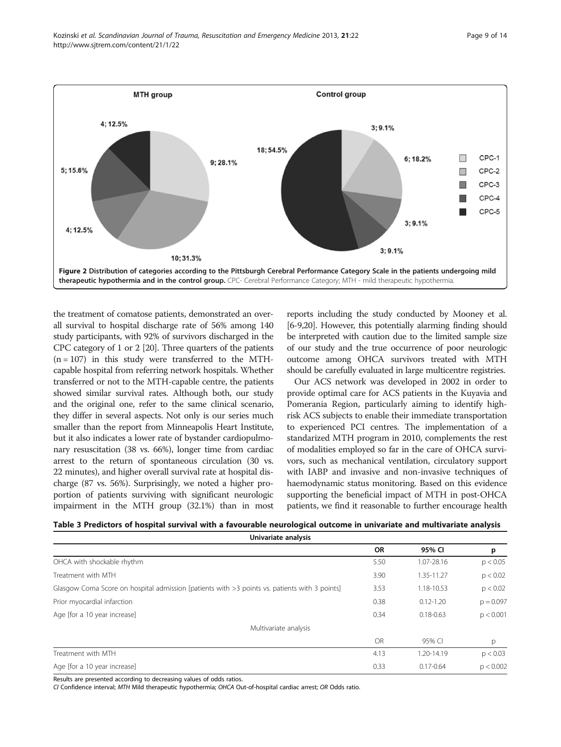<span id="page-8-0"></span>

the treatment of comatose patients, demonstrated an overall survival to hospital discharge rate of 56% among 140 study participants, with 92% of survivors discharged in the CPC category of 1 or 2 [\[20\]](#page-12-0). Three quarters of the patients  $(n = 107)$  in this study were transferred to the MTHcapable hospital from referring network hospitals. Whether transferred or not to the MTH-capable centre, the patients showed similar survival rates. Although both, our study and the original one, refer to the same clinical scenario, they differ in several aspects. Not only is our series much smaller than the report from Minneapolis Heart Institute, but it also indicates a lower rate of bystander cardiopulmonary resuscitation (38 vs. 66%), longer time from cardiac arrest to the return of spontaneous circulation (30 vs. 22 minutes), and higher overall survival rate at hospital discharge (87 vs. 56%). Surprisingly, we noted a higher proportion of patients surviving with significant neurologic impairment in the MTH group (32.1%) than in most reports including the study conducted by Mooney et al. [[6-9,20\]](#page-12-0). However, this potentially alarming finding should be interpreted with caution due to the limited sample size of our study and the true occurrence of poor neurologic outcome among OHCA survivors treated with MTH should be carefully evaluated in large multicentre registries.

Our ACS network was developed in 2002 in order to provide optimal care for ACS patients in the Kuyavia and Pomerania Region, particularly aiming to identify highrisk ACS subjects to enable their immediate transportation to experienced PCI centres. The implementation of a standarized MTH program in 2010, complements the rest of modalities employed so far in the care of OHCA survivors, such as mechanical ventilation, circulatory support with IABP and invasive and non-invasive techniques of haemodynamic status monitoring. Based on this evidence supporting the beneficial impact of MTH in post-OHCA patients, we find it reasonable to further encourage health

| Table 3 Predictors of hospital survival with a favourable neurological outcome in univariate and multivariate analysis |
|------------------------------------------------------------------------------------------------------------------------|
| Univariate analysis                                                                                                    |

|                                                                                               | <b>OR</b> | 95% CI        | р           |
|-----------------------------------------------------------------------------------------------|-----------|---------------|-------------|
| OHCA with shockable rhythm                                                                    | 5.50      | 1.07-28.16    | p < 0.05    |
| Treatment with MTH                                                                            | 3.90      | 1.35-11.27    | p < 0.02    |
| Glasgow Coma Score on hospital admission [patients with >3 points vs. patients with 3 points] | 3.53      | 1.18-10.53    | p < 0.02    |
| Prior myocardial infarction                                                                   | 0.38      | $0.12 - 1.20$ | $p = 0.097$ |
| Age [for a 10 year increase]                                                                  | 0.34      | $0.18 - 0.63$ | p < 0.001   |
| Multivariate analysis                                                                         |           |               |             |
|                                                                                               | <b>OR</b> | 95% CI        | p           |
| Treatment with MTH                                                                            | 4.13      | 1.20-14.19    | p < 0.03    |
| Age [for a 10 year increase]                                                                  | 0.33      | $0.17 - 0.64$ | p < 0.002   |
|                                                                                               |           |               |             |

Results are presented according to decreasing values of odds ratios.

CI Confidence interval; MTH Mild therapeutic hypothermia; OHCA Out-of-hospital cardiac arrest; OR Odds ratio.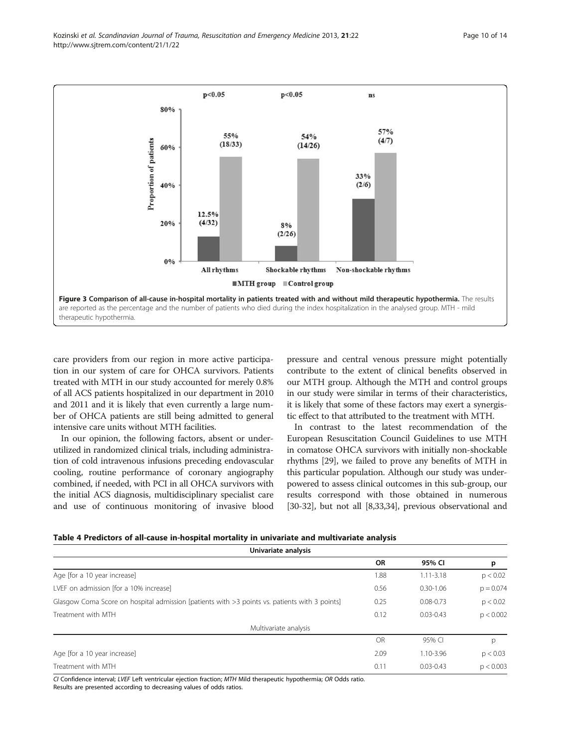<span id="page-9-0"></span>Kozinski et al. Scandinavian Journal of Trauma, Resuscitation and Emergency Medicine 2013, 21:22 Page 10 of 14 http://www.sjtrem.com/content/21/1/22



care providers from our region in more active participation in our system of care for OHCA survivors. Patients treated with MTH in our study accounted for merely 0.8% of all ACS patients hospitalized in our department in 2010 and 2011 and it is likely that even currently a large number of OHCA patients are still being admitted to general intensive care units without MTH facilities.

In our opinion, the following factors, absent or underutilized in randomized clinical trials, including administration of cold intravenous infusions preceding endovascular cooling, routine performance of coronary angiography combined, if needed, with PCI in all OHCA survivors with the initial ACS diagnosis, multidisciplinary specialist care and use of continuous monitoring of invasive blood

pressure and central venous pressure might potentially contribute to the extent of clinical benefits observed in our MTH group. Although the MTH and control groups in our study were similar in terms of their characteristics, it is likely that some of these factors may exert a synergistic effect to that attributed to the treatment with MTH.

In contrast to the latest recommendation of the European Resuscitation Council Guidelines to use MTH in comatose OHCA survivors with initially non-shockable rhythms [[29](#page-13-0)], we failed to prove any benefits of MTH in this particular population. Although our study was underpowered to assess clinical outcomes in this sub-group, our results correspond with those obtained in numerous [[30](#page-13-0)-[32\]](#page-13-0), but not all [\[8](#page-12-0)[,33,34](#page-13-0)], previous observational and

| Table 4 Predictors of all-cause in-hospital mortality in univariate and multivariate analysis |  |  |  |
|-----------------------------------------------------------------------------------------------|--|--|--|
|-----------------------------------------------------------------------------------------------|--|--|--|

| Univariate analysis                                                                           |           |               |             |
|-----------------------------------------------------------------------------------------------|-----------|---------------|-------------|
|                                                                                               | <b>OR</b> | 95% CI        | p           |
| Age [for a 10 year increase]                                                                  | 1.88      | $1.11 - 3.18$ | p < 0.02    |
| LVEF on admission [for a 10% increase]                                                        | 0.56      | $0.30 - 1.06$ | $p = 0.074$ |
| Glasgow Coma Score on hospital admission [patients with >3 points vs. patients with 3 points] | 0.25      | $0.08 - 0.73$ | p < 0.02    |
| Treatment with MTH                                                                            | 0.12      | $0.03 - 0.43$ | p < 0.002   |
| Multivariate analysis                                                                         |           |               |             |
|                                                                                               | <b>OR</b> | 95% CI        | p           |
| Age [for a 10 year increase]                                                                  | 2.09      | 1.10-3.96     | p < 0.03    |
| Treatment with MTH                                                                            | 0.11      | $0.03 - 0.43$ | p < 0.003   |

CI Confidence interval; LVEF Left ventricular ejection fraction; MTH Mild therapeutic hypothermia; OR Odds ratio. Results are presented according to decreasing values of odds ratios.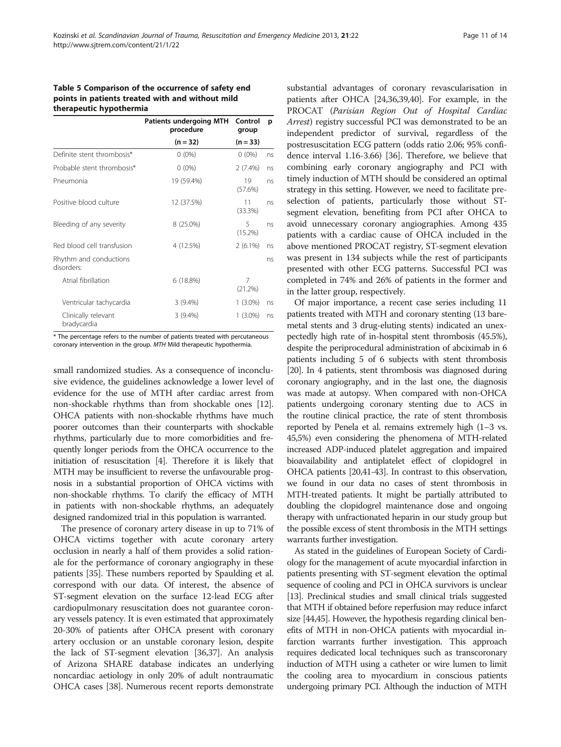#### <span id="page-10-0"></span>Table 5 Comparison of the occurrence of safety end points in patients treated with and without mild therapeutic hypothermia

|                                      | <b>Patients undergoing MTH</b><br>procedure | Control<br>group | p  |
|--------------------------------------|---------------------------------------------|------------------|----|
|                                      | $(n = 32)$                                  | $(n = 33)$       |    |
| Definite stent thrombosis*           | $0(0\%)$                                    | $0(0\%)$         | ns |
| Probable stent thrombosis*           | $0(0\%)$                                    | $2(7.4\%)$       | ns |
| Pneumonia                            | 19 (59.4%)                                  | 19<br>(57.6%)    | ns |
| Positive blood culture               | 12 (37.5%)                                  | 11<br>(33.3%)    | ns |
| Bleeding of any severity             | 8 (25.0%)                                   | 5<br>$(15.2\%)$  | ns |
| Red blood cell transfusion           | 4 (12.5%)                                   | $2(6.1\%)$       | ns |
| Rhythm and conductions<br>disorders: |                                             |                  | ns |
| Atrial fibrillation                  | 6(18.8%)                                    | 7<br>(21.2%)     |    |
| Ventricular tachycardia              | $3(9.4\%)$                                  | 1 (3.0%)         | ns |
| Clinically relevant<br>bradycardia   | 3(9.4%)                                     | 1 (3.0%)         | ns |

\* The percentage refers to the number of patients treated with percutaneous coronary intervention in the group. MTH Mild therapeutic hypothermia.

small randomized studies. As a consequence of inconclusive evidence, the guidelines acknowledge a lower level of evidence for the use of MTH after cardiac arrest from non-shockable rhythms than from shockable ones [[12](#page-12-0)]. OHCA patients with non-shockable rhythms have much poorer outcomes than their counterparts with shockable rhythms, particularly due to more comorbidities and frequently longer periods from the OHCA occurrence to the initiation of resuscitation [\[4\]](#page-12-0). Therefore it is likely that MTH may be insufficient to reverse the unfavourable prognosis in a substantial proportion of OHCA victims with non-shockable rhythms. To clarify the efficacy of MTH in patients with non-shockable rhythms, an adequately designed randomized trial in this population is warranted.

The presence of coronary artery disease in up to 71% of OHCA victims together with acute coronary artery occlusion in nearly a half of them provides a solid rationale for the performance of coronary angiography in these patients [[35](#page-13-0)]. These numbers reported by Spaulding et al. correspond with our data. Of interest, the absence of ST-segment elevation on the surface 12-lead ECG after cardiopulmonary resuscitation does not guarantee coronary vessels patency. It is even estimated that approximately 20-30% of patients after OHCA present with coronary artery occlusion or an unstable coronary lesion, despite the lack of ST-segment elevation [\[36,37\]](#page-13-0). An analysis of Arizona SHARE database indicates an underlying noncardiac aetiology in only 20% of adult nontraumatic OHCA cases [[38](#page-13-0)]. Numerous recent reports demonstrate

substantial advantages of coronary revascularisation in patients after OHCA [\[24,](#page-12-0)[36,39,40\]](#page-13-0). For example, in the PROCAT (Parisian Region Out of Hospital Cardiac Arrest) registry successful PCI was demonstrated to be an independent predictor of survival, regardless of the postresuscitation ECG pattern (odds ratio 2.06; 95% confidence interval 1.16-3.66) [[36](#page-13-0)]. Therefore, we believe that combining early coronary angiography and PCI with timely induction of MTH should be considered an optimal strategy in this setting. However, we need to facilitate preselection of patients, particularly those without STsegment elevation, benefiting from PCI after OHCA to avoid unnecessary coronary angiographies. Among 435 patients with a cardiac cause of OHCA included in the above mentioned PROCAT registry, ST-segment elevation was present in 134 subjects while the rest of participants presented with other ECG patterns. Successful PCI was completed in 74% and 26% of patients in the former and in the latter group, respectively.

Of major importance, a recent case series including 11 patients treated with MTH and coronary stenting (13 baremetal stents and 3 drug-eluting stents) indicated an unexpectedly high rate of in-hospital stent thrombosis (45.5%), despite the periprocedural administration of abciximab in 6 patients including 5 of 6 subjects with stent thrombosis [[20](#page-12-0)]. In 4 patients, stent thrombosis was diagnosed during coronary angiography, and in the last one, the diagnosis was made at autopsy. When compared with non-OHCA patients undergoing coronary stenting due to ACS in the routine clinical practice, the rate of stent thrombosis reported by Penela et al. remains extremely high (1–3 vs. 45,5%) even considering the phenomena of MTH-related increased ADP-induced platelet aggregation and impaired bioavailability and antiplatelet effect of clopidogrel in OHCA patients [\[20,](#page-12-0)[41](#page-13-0)-[43](#page-13-0)]. In contrast to this observation, we found in our data no cases of stent thrombosis in MTH-treated patients. It might be partially attributed to doubling the clopidogrel maintenance dose and ongoing therapy with unfractionated heparin in our study group but the possible excess of stent thrombosis in the MTH settings warrants further investigation.

As stated in the guidelines of European Society of Cardiology for the management of acute myocardial infarction in patients presenting with ST-segment elevation the optimal sequence of cooling and PCI in OHCA survivors is unclear [[13](#page-12-0)]. Preclinical studies and small clinical trials suggested that MTH if obtained before reperfusion may reduce infarct size [[44,45](#page-13-0)]. However, the hypothesis regarding clinical benefits of MTH in non-OHCA patients with myocardial infarction warrants further investigation. This approach requires dedicated local techniques such as transcoronary induction of MTH using a catheter or wire lumen to limit the cooling area to myocardium in conscious patients undergoing primary PCI. Although the induction of MTH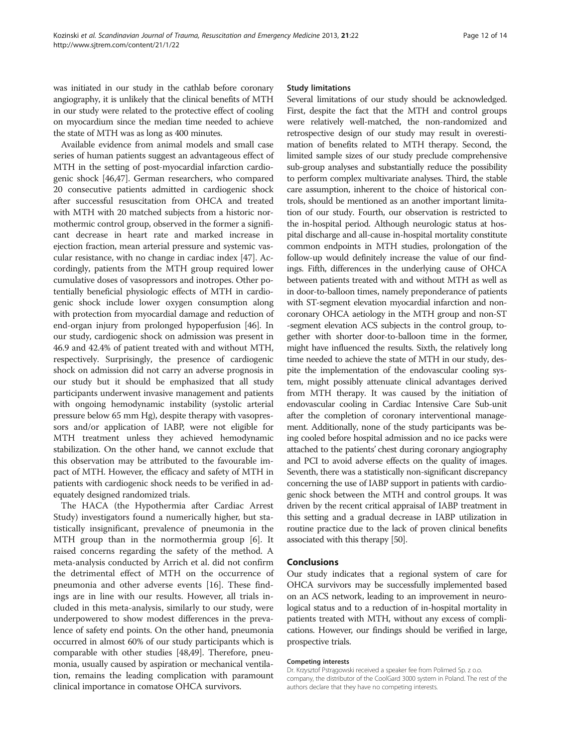was initiated in our study in the cathlab before coronary angiography, it is unlikely that the clinical benefits of MTH in our study were related to the protective effect of cooling on myocardium since the median time needed to achieve the state of MTH was as long as 400 minutes.

Available evidence from animal models and small case series of human patients suggest an advantageous effect of MTH in the setting of post-myocardial infarction cardiogenic shock [[46,47\]](#page-13-0). German researchers, who compared 20 consecutive patients admitted in cardiogenic shock after successful resuscitation from OHCA and treated with MTH with 20 matched subjects from a historic normothermic control group, observed in the former a significant decrease in heart rate and marked increase in ejection fraction, mean arterial pressure and systemic vascular resistance, with no change in cardiac index [\[47\]](#page-13-0). Accordingly, patients from the MTH group required lower cumulative doses of vasopressors and inotropes. Other potentially beneficial physiologic effects of MTH in cardiogenic shock include lower oxygen consumption along with protection from myocardial damage and reduction of end-organ injury from prolonged hypoperfusion [[46](#page-13-0)]. In our study, cardiogenic shock on admission was present in 46.9 and 42.4% of patient treated with and without MTH, respectively. Surprisingly, the presence of cardiogenic shock on admission did not carry an adverse prognosis in our study but it should be emphasized that all study participants underwent invasive management and patients with ongoing hemodynamic instability (systolic arterial pressure below 65 mm Hg), despite therapy with vasopressors and/or application of IABP, were not eligible for MTH treatment unless they achieved hemodynamic stabilization. On the other hand, we cannot exclude that this observation may be attributed to the favourable impact of MTH. However, the efficacy and safety of MTH in patients with cardiogenic shock needs to be verified in adequately designed randomized trials.

The HACA (the Hypothermia after Cardiac Arrest Study) investigators found a numerically higher, but statistically insignificant, prevalence of pneumonia in the MTH group than in the normothermia group [\[6](#page-12-0)]. It raised concerns regarding the safety of the method. A meta-analysis conducted by Arrich et al. did not confirm the detrimental effect of MTH on the occurrence of pneumonia and other adverse events [\[16\]](#page-12-0). These findings are in line with our results. However, all trials included in this meta-analysis, similarly to our study, were underpowered to show modest differences in the prevalence of safety end points. On the other hand, pneumonia occurred in almost 60% of our study participants which is comparable with other studies [\[48,49\]](#page-13-0). Therefore, pneumonia, usually caused by aspiration or mechanical ventilation, remains the leading complication with paramount clinical importance in comatose OHCA survivors.

#### Study limitations

Several limitations of our study should be acknowledged. First, despite the fact that the MTH and control groups were relatively well-matched, the non-randomized and retrospective design of our study may result in overestimation of benefits related to MTH therapy. Second, the limited sample sizes of our study preclude comprehensive sub-group analyses and substantially reduce the possibility to perform complex multivariate analyses. Third, the stable care assumption, inherent to the choice of historical controls, should be mentioned as an another important limitation of our study. Fourth, our observation is restricted to the in-hospital period. Although neurologic status at hospital discharge and all-cause in-hospital mortality constitute common endpoints in MTH studies, prolongation of the follow-up would definitely increase the value of our findings. Fifth, differences in the underlying cause of OHCA between patients treated with and without MTH as well as in door-to-balloon times, namely preponderance of patients with ST-segment elevation myocardial infarction and noncoronary OHCA aetiology in the MTH group and non-ST -segment elevation ACS subjects in the control group, together with shorter door-to-balloon time in the former, might have influenced the results. Sixth, the relatively long time needed to achieve the state of MTH in our study, despite the implementation of the endovascular cooling system, might possibly attenuate clinical advantages derived from MTH therapy. It was caused by the initiation of endovascular cooling in Cardiac Intensive Care Sub-unit after the completion of coronary interventional management. Additionally, none of the study participants was being cooled before hospital admission and no ice packs were attached to the patients' chest during coronary angiography and PCI to avoid adverse effects on the quality of images. Seventh, there was a statistically non-significant discrepancy concerning the use of IABP support in patients with cardiogenic shock between the MTH and control groups. It was driven by the recent critical appraisal of IABP treatment in this setting and a gradual decrease in IABP utilization in routine practice due to the lack of proven clinical benefits associated with this therapy [\[50\]](#page-13-0).

# **Conclusions**

Our study indicates that a regional system of care for OHCA survivors may be successfully implemented based on an ACS network, leading to an improvement in neurological status and to a reduction of in-hospital mortality in patients treated with MTH, without any excess of complications. However, our findings should be verified in large, prospective trials.

#### Competing interests

Dr. Krzysztof Pstrągowski received a speaker fee from Polimed Sp. z o.o. company, the distributor of the CoolGard 3000 system in Poland. The rest of the authors declare that they have no competing interests.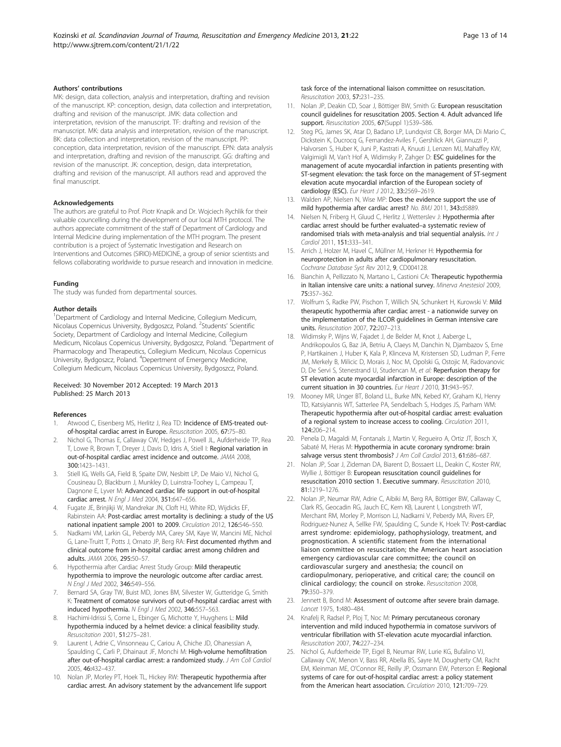#### <span id="page-12-0"></span>Authors' contributions

MK: design, data collection, analysis and interpretation, drafting and revision of the manuscript. KP: conception, design, data collection and interpretation, drafting and revision of the manuscript. JMK: data collection and interpretation, revision of the manuscript. TF: drafting and revision of the manuscript. MK: data analysis and interpretation, revision of the manuscript. BK: data collection and interpretation, revision of the manuscript. PP: conception, data interpretation, revision of the manuscript. EPN: data analysis and interpretation, drafting and revision of the manuscript. GG: drafting and revision of the manuscript. JK: conception, design, data interpretation, drafting and revision of the manuscript. All authors read and approved the final manuscript.

#### Acknowledgements

The authors are grateful to Prof. Piotr Knapik and Dr. Wojciech Rychlik for their valuable councelling during the development of our local MTH protocol. The authors appreciate commitment of the staff of Department of Cardiology and Internal Medicine during implementation of the MTH program. The present contribution is a project of Systematic Investigation and Research on Interventions and Outcomes (SIRIO)-MEDICINE, a group of senior scientists and fellows collaborating worldwide to pursue research and innovation in medicine.

#### Funding

The study was funded from departmental sources.

#### Author details

<sup>1</sup>Department of Cardiology and Internal Medicine, Collegium Medicum, Nicolaus Copernicus University, Bydgoszcz, Poland. <sup>2</sup>Students' Scientific Society, Department of Cardiology and Internal Medicine, Collegium Medicum, Nicolaus Copernicus University, Bydgoszcz, Poland. <sup>3</sup>Department of Pharmacology and Therapeutics, Collegium Medicum, Nicolaus Copernicus University, Bydgoszcz, Poland. <sup>4</sup>Depertment of Emergency Medicine, Collegium Medicum, Nicolaus Copernicus University, Bydgoszcz, Poland.

#### Received: 30 November 2012 Accepted: 19 March 2013 Published: 25 March 2013

#### References

- 1. Atwood C, Eisenberg MS, Herlitz J, Rea TD: Incidence of EMS-treated outof-hospital cardiac arrest in Europe. Resuscitation 2005, 67:75–80.
- 2. Nichol G, Thomas E, Callaway CW, Hedges J, Powell JL, Aufderheide TP, Rea T, Lowe R, Brown T, Dreyer J, Davis D, Idris A, Stiell I: Regional variation in out-of-hospital cardiac arrest incidence and outcome. JAMA 2008, 300:1423–1431.
- 3. Stiell IG, Wells GA, Field B, Spaite DW, Nesbitt LP, De Maio VJ, Nichol G, Cousineau D, Blackburn J, Munkley D, Luinstra-Toohey L, Campeau T, Dagnone E, Lyver M: Advanced cardiac life support in out-of-hospital cardiac arrest. N Engl J Med 2004, 351:647–656.
- 4. Fugate JE, Brinjikji W, Mandrekar JN, Cloft HJ, White RD, Wijdicks EF, Rabinstein AA: Post-cardiac arrest mortality is declining: a study of the US national inpatient sample 2001 to 2009. Circulation 2012, 126:546–550.
- 5. Nadkarni VM, Larkin GL, Peberdy MA, Carey SM, Kaye W, Mancini ME, Nichol G, Lane-Truitt T, Potts J, Ornato JP, Berg RA: First documented rhythm and clinical outcome from in-hospital cardiac arrest among children and adults. JAMA 2006, 295:50–57.
- 6. Hypothermia after Cardiac Arrest Study Group: Mild therapeutic hypothermia to improve the neurologic outcome after cardiac arrest. N Engl J Med 2002, 346:549–556.
- Bernard SA, Gray TW, Buist MD, Jones BM, Silvester W, Gutteridge G, Smith K: Treatment of comatose survivors of out-of-hospital cardiac arrest with induced hypothermia. N Engl J Med 2002, 346:557–563.
- 8. Hachimi-Idrissi S, Corne L, Ebinger G, Michotte Y, Huyghens L: Mild hypothermia induced by a helmet device: a clinical feasibility study. Resuscitation 2001, 51:275–281.
- Laurent I, Adrie C, Vinsonneau C, Cariou A, Chiche JD, Ohanessian A, Spaulding C, Carli P, Dhainaut JF, Monchi M: High-volume hemofiltration after out-of-hospital cardiac arrest: a randomized study. J Am Coll Cardiol 2005, 46:432–437.
- 10. Nolan JP, Morley PT, Hoek TL, Hickey RW: Therapeutic hypothermia after cardiac arrest. An advisory statement by the advancement life support

task force of the international liaison committee on resuscitation. Resuscitation 2003, 57:231–235.

- 11. Nolan JP, Deakin CD, Soar J, Böttiger BW, Smith G: European resuscitation council guidelines for resuscitation 2005. Section 4. Adult advanced life support. Resuscitation 2005, 67(Suppl 1):S39-S86.
- 12. Steg PG, James SK, Atar D, Badano LP, Lundqvist CB, Borger MA, Di Mario C, Dickstein K, Ducrocq G, Fernandez-Aviles F, Gershlick AH, Giannuzzi P, Halvorsen S, Huber K, Juni P, Kastrati A, Knuuti J, Lenzen MJ, Mahaffey KW, Valgimigli M, Van't Hof A, Widimsky P, Zahger D: ESC guidelines for the management of acute myocardial infarction in patients presenting with ST-segment elevation: the task force on the management of ST-segment elevation acute myocardial infarction of the European society of cardiology (ESC). Eur Heart J 2012, 33:2569–2619.
- 13. Walden AP, Nielsen N, Wise MP: Does the evidence support the use of mild hypothermia after cardiac arrest? No. BMJ 2011, 343:d5889.
- 14. Nielsen N, Friberg H, Gluud C, Herlitz J, Wetterslev J: Hypothermia after cardiac arrest should be further evaluated–a systematic review of randomised trials with meta-analysis and trial sequential analysis. Int J Cardiol 2011, 151:333–341.
- 15. Arrich J, Holzer M, Havel C, Müllner M, Herkner H: Hypothermia for neuroprotection in adults after cardiopulmonary resuscitation. Cochrane Database Syst Rev 2012, 9, CD004128.
- 16. Bianchin A, Pellizzato N, Martano L, Castioni CA: Therapeutic hypothermia in Italian intensive care units: a national survey. Minerva Anestesiol 2009, 75:357–362.
- 17. Wolfrum S, Radke PW, Pischon T, Willich SN, Schunkert H, Kurowski V: Mild therapeutic hypothermia after cardiac arrest - a nationwide survey on the implementation of the ILCOR guidelines in German intensive care units. Resuscitation 2007, 72:207–213.
- 18. Widimsky P, Wijns W, Fajadet J, de Belder M, Knot J, Aaberge L, Andrikopoulos G, Baz JA, Betriu A, Claeys M, Danchin N, Djambazov S, Erne P, Hartikainen J, Huber K, Kala P, Klinceva M, Kristensen SD, Ludman P, Ferre JM, Merkely B, Milicic D, Morais J, Noc M, Opolski G, Ostojic M, Radovanovic D, De Servi S, Stenestrand U, Studencan M, et al: Reperfusion therapy for ST elevation acute myocardial infarction in Europe: description of the current situation in 30 countries. Eur Heart J 2010, 31:943–957.
- 19. Mooney MR, Unger BT, Boland LL, Burke MN, Kebed KY, Graham KJ, Henry TD, Katsiyiannis WT, Satterlee PA, Sendelbach S, Hodges JS, Parham WM: Therapeutic hypothermia after out-of-hospital cardiac arrest: evaluation of a regional system to increase access to cooling. Circulation 2011, 124:206–214.
- 20. Penela D, Magaldi M, Fontanals J, Martin V, Regueiro A, Ortiz JT, Bosch X, Sabaté M, Heras M: Hypothermia in acute coronary syndrome: brain salvage versus stent thrombosis? J Am Coll Cardiol 2013, 61:686-687.
- 21. Nolan JP, Soar J, Zideman DA, Biarent D, Bossaert LL, Deakin C, Koster RW, Wyllie J, Böttiger B: European resuscitation council quidelines for resuscitation 2010 section 1. Executive summary. Resuscitation 2010, 81:1219–1276.
- 22. Nolan JP, Neumar RW, Adrie C, Aibiki M, Berg RA, Böttiger BW, Callaway C, Clark RS, Geocadin RG, Jauch EC, Kern KB, Laurent I, Longstreth WT, Merchant RM, Morley P, Morrison LJ, Nadkarni V, Peberdy MA, Rivers EP, Rodriguez-Nunez A, Sellke FW, Spaulding C, Sunde K, Hoek TV: Post-cardiac arrest syndrome: epidemiology, pathophysiology, treatment, and prognostication. A scientific statement from the international liaison committee on resuscitation; the American heart association emergency cardiovascular care committee; the council on cardiovascular surgery and anesthesia; the council on cardiopulmonary, perioperative, and critical care; the council on clinical cardiology; the council on stroke. Resuscitation 2008, 79:350–379.
- 23. Jennett B, Bond M: Assessment of outcome after severe brain damage. Lancet 1975, 1:480–484.
- 24. Knafelj R, Radsel P, Ploj T, Noc M: Primary percutaneous coronary intervention and mild induced hypothermia in comatose survivors of ventricular fibrillation with ST-elevation acute myocardial infarction. Resuscitation 2007, 74:227–234.
- 25. Nichol G, Aufderheide TP, Eigel B, Neumar RW, Lurie KG, Bufalino VJ, Callaway CW, Menon V, Bass RR, Abella BS, Sayre M, Dougherty CM, Racht EM, Kleinman ME, O'Connor RE, Reilly JP, Ossmann EW, Peterson E: Regional systems of care for out-of-hospital cardiac arrest: a policy statement from the American heart association. Circulation 2010, 121:709–729.